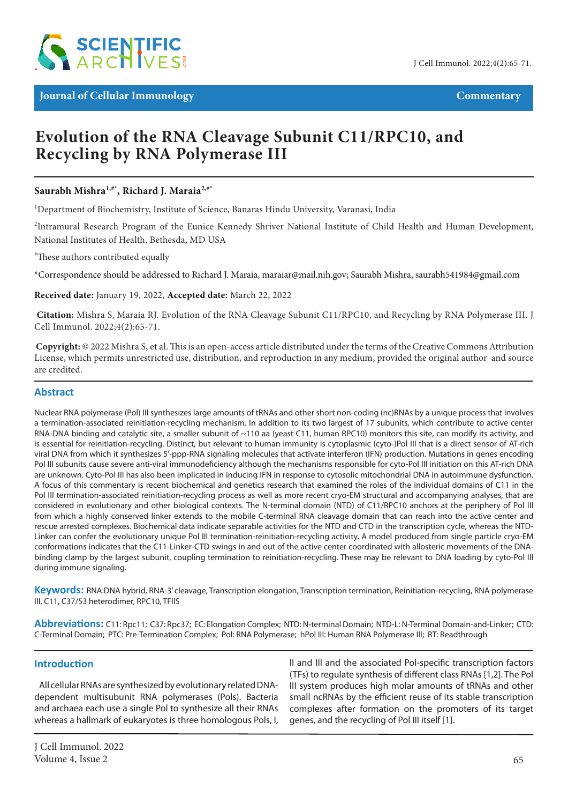

**Journal of Cellular Immunology Commentary** 

# **Evolution of the RNA Cleavage Subunit C11/RPC10, and Recycling by RNA Polymerase III**

# **Saurabh Mishra1,#\* , Richard J. Maraia2,#\***

<sup>1</sup>Department of Biochemistry, Institute of Science, Banaras Hindu University, Varanasi, India

<sup>2</sup>Intramural Research Program of the Eunice Kennedy Shriver National Institute of Child Health and Human Development, National Institutes of Health, Bethesda, MD USA

# These authors contributed equally

\*Correspondence should be addressed to Richard J. Maraia, maraiar@mail.nih.gov; Saurabh Mishra, saurabh541984@gmail.com

#### **Received date:** January 19, 2022, **Accepted date:** March 22, 2022

**Citation:** Mishra S, Maraia RJ. Evolution of the RNA Cleavage Subunit C11/RPC10, and Recycling by RNA Polymerase III. J Cell Immunol. 2022;4(2):65-71.

 **Copyright:** © 2022 Mishra S, et al. This is an open-access article distributed under the terms of the Creative Commons Attribution License, which permits unrestricted use, distribution, and reproduction in any medium, provided the original author and source are credited.

# **Abstract**

Nuclear RNA polymerase (Pol) III synthesizes large amounts of tRNAs and other short non-coding (nc)RNAs by a unique process that involves a termination-associated reinitiation-recycling mechanism. In addition to its two largest of 17 subunits, which contribute to active center RNA-DNA binding and catalytic site, a smaller subunit of ~110 aa (yeast C11, human RPC10) monitors this site, can modify its activity, and is essential for reinitiation-recycling. Distinct, but relevant to human immunity is cytoplasmic (cyto-)Pol III that is a direct sensor of AT-rich viral DNA from which it synthesizes 5′-ppp-RNA signaling molecules that activate interferon (IFN) production. Mutations in genes encoding Pol III subunits cause severe anti-viral immunodeficiency although the mechanisms responsible for cyto-Pol III initiation on this AT-rich DNA are unknown. Cyto-Pol III has also been implicated in inducing IFN in response to cytosolic mitochondrial DNA in autoimmune dysfunction. A focus of this commentary is recent biochemical and genetics research that examined the roles of the individual domains of C11 in the Pol III termination-associated reinitiation-recycling process as well as more recent cryo-EM structural and accompanying analyses, that are considered in evolutionary and other biological contexts. The N-terminal domain (NTD) of C11/RPC10 anchors at the periphery of Pol III from which a highly conserved linker extends to the mobile C-terminal RNA cleavage domain that can reach into the active center and rescue arrested complexes. Biochemical data indicate separable activities for the NTD and CTD in the transcription cycle, whereas the NTD-Linker can confer the evolutionary unique Pol III termination-reinitiation-recycling activity. A model produced from single particle cryo-EM conformations indicates that the C11-Linker-CTD swings in and out of the active center coordinated with allosteric movements of the DNAbinding clamp by the largest subunit, coupling termination to reinitiation-recycling. These may be relevant to DNA loading by cyto-Pol III during immune signaling.

**Keywords:** RNA:DNA hybrid, RNA-3' cleavage, Transcription elongation, Transcription termination, Reinitiation-recycling, RNA polymerase III, C11, C37/53 heterodimer, RPC10, TFIIS

**Abbreviations:** C11: Rpc11; C37: Rpc37; EC: Elongation Complex; NTD: N-terminal Domain; NTD-L: N-Terminal Domain-and-Linker; CTD: C-Terminal Domain; PTC: Pre-Termination Complex; Pol: RNA Polymerase; hPol III: Human RNA Polymerase III; RT: Readthrough

# **Introduction**

All cellular RNAs are synthesized by evolutionary related DNAdependent multisubunit RNA polymerases (Pols). Bacteria and archaea each use a single Pol to synthesize all their RNAs whereas a hallmark of eukaryotes is three homologous Pols, I, II and III and the associated Pol-specific transcription factors (TFs) to regulate synthesis of different class RNAs [1,2]. The Pol III system produces high molar amounts of tRNAs and other small ncRNAs by the efficient reuse of its stable transcription complexes after formation on the promoters of its target genes, and the recycling of Pol III itself [1].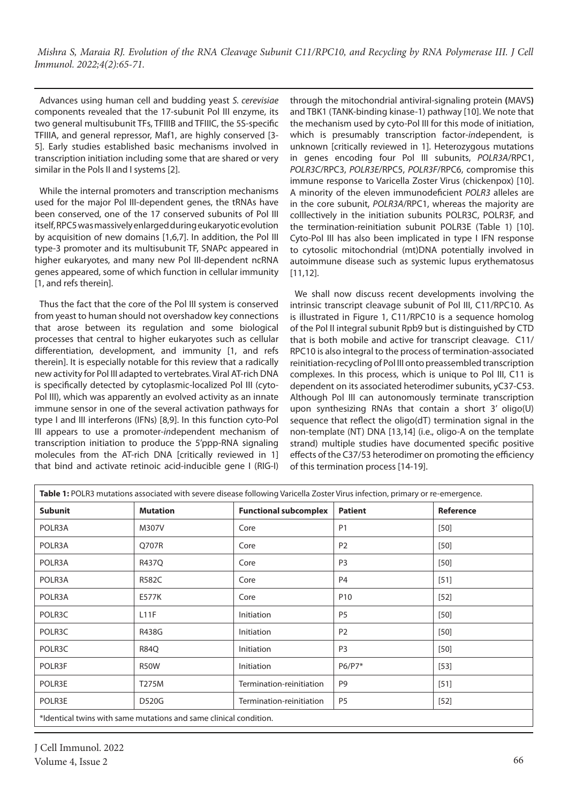Advances using human cell and budding yeast *S. cerevisiae* components revealed that the 17-subunit Pol III enzyme, its two general multisubunit TFs, TFIIIB and TFIIIC, the 5S-specific TFIIIA, and general repressor, Maf1, are highly conserved [3- 5]. Early studies established basic mechanisms involved in transcription initiation including some that are shared or very similar in the Pols II and I systems [2].

While the internal promoters and transcription mechanisms used for the major Pol III-dependent genes, the tRNAs have been conserved, one of the 17 conserved subunits of Pol III itself, RPC5 was massively enlarged during eukaryotic evolution by acquisition of new domains [1,6,7]. In addition, the Pol III type-3 promoter and its multisubunit TF, SNAPc appeared in higher eukaryotes, and many new Pol III-dependent ncRNA genes appeared, some of which function in cellular immunity [1, and refs therein].

Thus the fact that the core of the Pol III system is conserved from yeast to human should not overshadow key connections that arose between its regulation and some biological processes that central to higher eukaryotes such as cellular differentiation, development, and immunity [1, and refs therein]. It is especially notable for this review that a radically new activity for Pol III adapted to vertebrates. Viral AT-rich DNA is specifically detected by cytoplasmic-localized Pol III (cyto-Pol III), which was apparently an evolved activity as an innate immune sensor in one of the several activation pathways for type I and III interferons (IFNs) [8,9]. In this function cyto-Pol III appears to use a promoter-*in*dependent mechanism of transcription initiation to produce the 5'ppp-RNA signaling molecules from the AT-rich DNA [critically reviewed in 1] that bind and activate retinoic acid-inducible gene I (RIG-I) through the mitochondrial antiviral-signaling protein **(**MAVS**)** and TBK1 (TANK-binding kinase-1) pathway [10]. We note that the mechanism used by cyto-Pol III for this mode of initiation, which is presumably transcription factor-*in*dependent, is unknown [critically reviewed in 1]. Heterozygous mutations in genes encoding four Pol III subunits, *POLR3A*/RPC1, *POLR3C*/RPC3, *POLR3E*/RPC5, *POLR3F*/RPC6, compromise this immune response to Varicella Zoster Virus (chickenpox) [10]. A minority of the eleven immunodeficient *POLR3* alleles are in the core subunit, *POLR3A*/RPC1, whereas the majority are colllectively in the initiation subunits POLR3C, POLR3F, and the termination-reinitiation subunit POLR3E (Table 1) [10]. Cyto-Pol III has also been implicated in type I IFN response to cytosolic mitochondrial (mt)DNA potentially involved in autoimmune disease such as systemic lupus erythematosus [11,12].

We shall now discuss recent developments involving the intrinsic transcript cleavage subunit of Pol III, C11/RPC10. As is illustrated in Figure 1, C11/RPC10 is a sequence homolog of the Pol II integral subunit Rpb9 but is distinguished by CTD that is both mobile and active for transcript cleavage. C11/ RPC10 is also integral to the process of termination-associated reinitiation-recycling of Pol III onto preassembled transcription complexes. In this process, which is unique to Pol III, C11 is dependent on its associated heterodimer subunits, yC37-C53. Although Pol III can autonomously terminate transcription upon synthesizing RNAs that contain a short 3' oligo(U) sequence that reflect the oligo(dT) termination signal in the non-template (NT) DNA [13,14] (i.e., oligo-A on the template strand) multiple studies have documented specific positive effects of the C37/53 heterodimer on promoting the efficiency of this termination process [14-19].

| Table 1: POLR3 mutations associated with severe disease following Varicella Zoster Virus infection, primary or re-emergence. |                 |                              |                 |                  |
|------------------------------------------------------------------------------------------------------------------------------|-----------------|------------------------------|-----------------|------------------|
| <b>Subunit</b>                                                                                                               | <b>Mutation</b> | <b>Functional subcomplex</b> | <b>Patient</b>  | <b>Reference</b> |
| POLR3A                                                                                                                       | M307V           | Core                         | P <sub>1</sub>  | $[50]$           |
| POLR3A                                                                                                                       | Q707R           | Core                         | P <sub>2</sub>  | $[50]$           |
| POLR3A                                                                                                                       | R437Q           | Core                         | P <sub>3</sub>  | $[50]$           |
| POLR3A                                                                                                                       | <b>R582C</b>    | Core                         | P <sub>4</sub>  | $[51]$           |
| POLR3A                                                                                                                       | E577K           | Core                         | P <sub>10</sub> | $[52]$           |
| POLR3C                                                                                                                       | L11F            | Initiation                   | <b>P5</b>       | $[50]$           |
| POLR3C                                                                                                                       | R438G           | Initiation                   | P <sub>2</sub>  | $[50]$           |
| POLR3C                                                                                                                       | <b>R84Q</b>     | Initiation                   | P <sub>3</sub>  | $[50]$           |
| POLR3F                                                                                                                       | R50W            | Initiation                   | P6/P7*          | $[53]$           |
| POLR3E                                                                                                                       | T275M           | Termination-reinitiation     | P <sub>9</sub>  | $[51]$           |
| POLR3E                                                                                                                       | <b>D520G</b>    | Termination-reinitiation     | P <sub>5</sub>  | $[52]$           |
| *Identical twins with same mutations and same clinical condition.                                                            |                 |                              |                 |                  |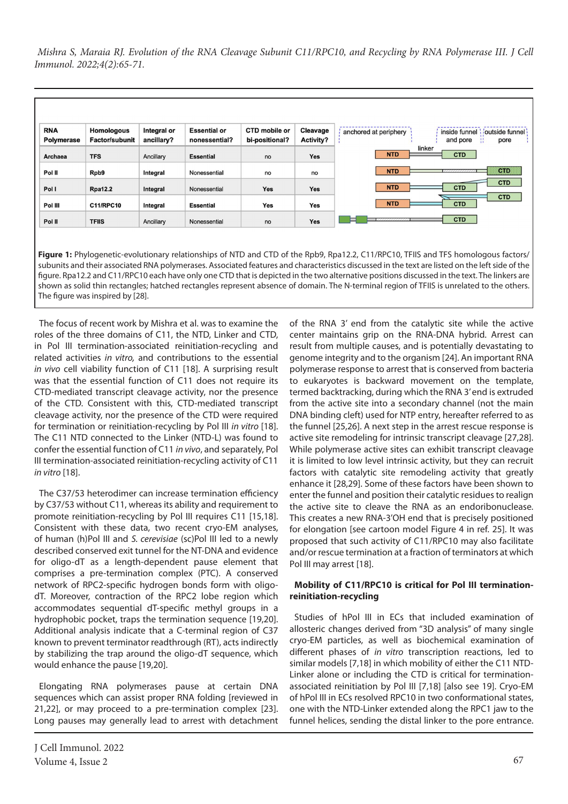

subunits and their associated RNA polymerases. Associated features and characteristics discussed in the text are listed on the left side of the figure. Rpa12.2 and C11/RPC10 each have only one CTD that is depicted in the two alternative positions discussed in the text. The linkers are shown as solid thin rectangles; hatched rectangles represent absence of domain. The N-terminal region of TFIIS is unrelated to the others. The figure was inspired by [28].

The focus of recent work by Mishra et al. was to examine the roles of the three domains of C11, the NTD, Linker and CTD, in Pol III termination-associated reinitiation-recycling and related activities *in vitro,* and contributions to the essential *in vivo* cell viability function of C11 [18]. A surprising result was that the essential function of C11 does not require its CTD-mediated transcript cleavage activity, nor the presence of the CTD. Consistent with this, CTD-mediated transcript cleavage activity, nor the presence of the CTD were required for termination or reinitiation-recycling by Pol III *in vitro* [18]. The C11 NTD connected to the Linker (NTD-L) was found to confer the essential function of C11 *in vivo*, and separately, Pol III termination-associated reinitiation-recycling activity of C11 *in vitro* [18].

The C37/53 heterodimer can increase termination efficiency by C37/53 without C11, whereas its ability and requirement to promote reinitiation-recycling by Pol III requires C11 [15,18]. Consistent with these data, two recent cryo-EM analyses, of human (h)Pol III and *S. cerevisiae* (sc)Pol III led to a newly described conserved exit tunnel for the NT-DNA and evidence for oligo-dT as a length-dependent pause element that comprises a pre-termination complex (PTC). A conserved network of RPC2-specific hydrogen bonds form with oligodT. Moreover, contraction of the RPC2 lobe region which accommodates sequential dT-specific methyl groups in a hydrophobic pocket, traps the termination sequence [19,20]. Additional analysis indicate that a C-terminal region of C37 known to prevent terminator readthrough (RT), acts indirectly by stabilizing the trap around the oligo-dT sequence, which would enhance the pause [19,20].

Elongating RNA polymerases pause at certain DNA sequences which can assist proper RNA folding [reviewed in 21,22], or may proceed to a pre-termination complex [23]. Long pauses may generally lead to arrest with detachment of the RNA 3' end from the catalytic site while the active center maintains grip on the RNA-DNA hybrid. Arrest can result from multiple causes, and is potentially devastating to genome integrity and to the organism [24]. An important RNA polymerase response to arrest that is conserved from bacteria to eukaryotes is backward movement on the template, termed backtracking, during which the RNA 3' end is extruded from the active site into a secondary channel (not the main DNA binding cleft) used for NTP entry, hereafter referred to as the funnel [25,26]. A next step in the arrest rescue response is active site remodeling for intrinsic transcript cleavage [27,28]. While polymerase active sites can exhibit transcript cleavage it is limited to low level intrinsic activity, but they can recruit factors with catalytic site remodeling activity that greatly enhance it [28,29]. Some of these factors have been shown to enter the funnel and position their catalytic residues to realign the active site to cleave the RNA as an endoribonuclease. This creates a new RNA-3'OH end that is precisely positioned for elongation [see cartoon model Figure 4 in ref. 25]. It was proposed that such activity of C11/RPC10 may also facilitate and/or rescue termination at a fraction of terminators at which Pol III may arrest [18].

#### **Mobility of C11/RPC10 is critical for Pol III terminationreinitiation-recycling**

Studies of hPol III in ECs that included examination of allosteric changes derived from "3D analysis" of many single cryo-EM particles, as well as biochemical examination of different phases of *in vitro* transcription reactions, led to similar models [7,18] in which mobility of either the C11 NTD-Linker alone or including the CTD is critical for terminationassociated reinitiation by Pol III [7,18] [also see 19]. Cryo-EM of hPol III in ECs resolved RPC10 in two conformational states, one with the NTD-Linker extended along the RPC1 jaw to the funnel helices, sending the distal linker to the pore entrance.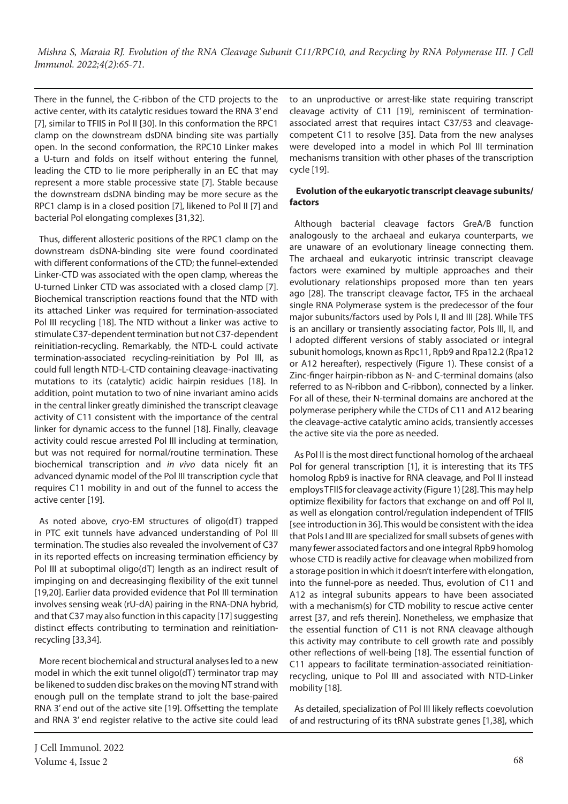There in the funnel, the C-ribbon of the CTD projects to the active center, with its catalytic residues toward the RNA 3' end [7], similar to TFIIS in Pol II [30]. In this conformation the RPC1 clamp on the downstream dsDNA binding site was partially open. In the second conformation, the RPC10 Linker makes a U-turn and folds on itself without entering the funnel, leading the CTD to lie more peripherally in an EC that may represent a more stable processive state [7]. Stable because the downstream dsDNA binding may be more secure as the RPC1 clamp is in a closed position [7], likened to Pol II [7] and bacterial Pol elongating complexes [31,32].

Thus, different allosteric positions of the RPC1 clamp on the downstream dsDNA-binding site were found coordinated with different conformations of the CTD; the funnel-extended Linker-CTD was associated with the open clamp, whereas the U-turned Linker CTD was associated with a closed clamp [7]. Biochemical transcription reactions found that the NTD with its attached Linker was required for termination-associated Pol III recycling [18]. The NTD without a linker was active to stimulate C37-dependent termination but not C37-dependent reinitiation-recycling. Remarkably, the NTD-L could activate termination-associated recycling-reinitiation by Pol III, as could full length NTD-L-CTD containing cleavage-inactivating mutations to its (catalytic) acidic hairpin residues [18]. In addition, point mutation to two of nine invariant amino acids in the central linker greatly diminished the transcript cleavage activity of C11 consistent with the importance of the central linker for dynamic access to the funnel [18]. Finally, cleavage activity could rescue arrested Pol III including at termination, but was not required for normal/routine termination. These biochemical transcription and *in vivo* data nicely fit an advanced dynamic model of the Pol III transcription cycle that requires C11 mobility in and out of the funnel to access the active center [19].

As noted above, cryo-EM structures of oligo(dT) trapped in PTC exit tunnels have advanced understanding of Pol III termination. The studies also revealed the involvement of C37 in its reported effects on increasing termination efficiency by Pol III at suboptimal oligo(dT) length as an indirect result of impinging on and decreasinging flexibility of the exit tunnel [19,20]. Earlier data provided evidence that Pol III termination involves sensing weak (rU-dA) pairing in the RNA-DNA hybrid, and that C37 may also function in this capacity [17] suggesting distinct effects contributing to termination and reinitiationrecycling [33,34].

More recent biochemical and structural analyses led to a new model in which the exit tunnel oligo(dT) terminator trap may be likened to sudden disc brakes on the moving NT strand with enough pull on the template strand to jolt the base-paired RNA 3' end out of the active site [19]. Offsetting the template and RNA 3' end register relative to the active site could lead

J Cell Immunol. 2022 Volume 4, Issue 2  $68$ 

to an unproductive or arrest-like state requiring transcript cleavage activity of C11 [19], reminiscent of terminationassociated arrest that requires intact C37/53 and cleavagecompetent C11 to resolve [35]. Data from the new analyses were developed into a model in which Pol III termination mechanisms transition with other phases of the transcription cycle [19].

# **Evolution of the eukaryotic transcript cleavage subunits/ factors**

Although bacterial cleavage factors GreA/B function analogously to the archaeal and eukarya counterparts, we are unaware of an evolutionary lineage connecting them. The archaeal and eukaryotic intrinsic transcript cleavage factors were examined by multiple approaches and their evolutionary relationships proposed more than ten years ago [28]. The transcript cleavage factor, TFS in the archaeal single RNA Polymerase system is the predecessor of the four major subunits/factors used by Pols I, II and III [28]. While TFS is an ancillary or transiently associating factor, Pols III, II, and I adopted different versions of stably associated or integral subunit homologs, known as Rpc11, Rpb9 and Rpa12.2 (Rpa12 or A12 hereafter), respectively (Figure 1). These consist of a Zinc-finger hairpin-ribbon as N- and C-terminal domains (also referred to as N-ribbon and C-ribbon), connected by a linker. For all of these, their N-terminal domains are anchored at the polymerase periphery while the CTDs of C11 and A12 bearing the cleavage-active catalytic amino acids, transiently accesses the active site via the pore as needed.

As Pol II is the most direct functional homolog of the archaeal Pol for general transcription [1], it is interesting that its TFS homolog Rpb9 is inactive for RNA cleavage, and Pol II instead employs TFIIS for cleavage activity (Figure 1) [28]. This may help optimize flexibility for factors that exchange on and off Pol II, as well as elongation control/regulation independent of TFIIS [see introduction in 36]. This would be consistent with the idea that Pols I and III are specialized for small subsets of genes with many fewer associated factors and one integral Rpb9 homolog whose CTD is readily active for cleavage when mobilized from a storage position in which it doesn't interfere with elongation, into the funnel-pore as needed. Thus, evolution of C11 and A12 as integral subunits appears to have been associated with a mechanism(s) for CTD mobility to rescue active center arrest [37, and refs therein]. Nonetheless, we emphasize that the essential function of C11 is not RNA cleavage although this activity may contribute to cell growth rate and possibly other reflections of well-being [18]. The essential function of C11 appears to facilitate termination-associated reinitiationrecycling, unique to Pol III and associated with NTD-Linker mobility [18].

As detailed, specialization of Pol III likely reflects coevolution of and restructuring of its tRNA substrate genes [1,38], which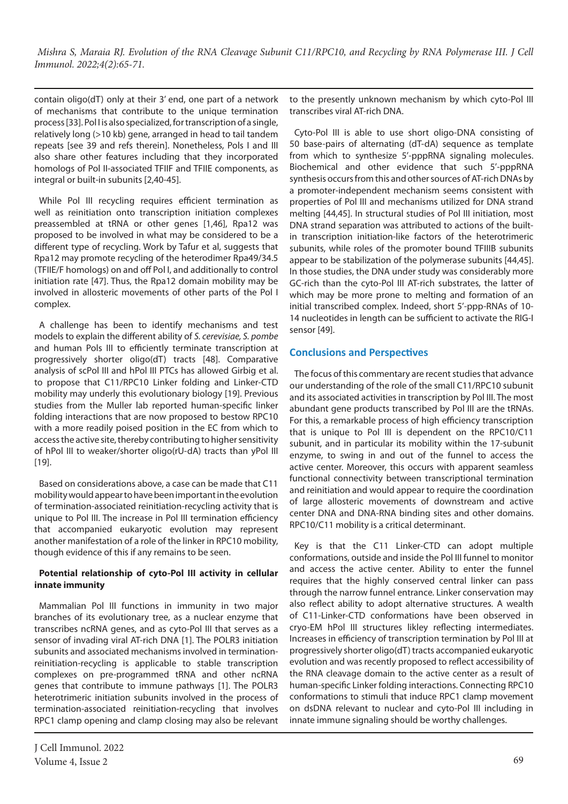contain oligo(dT) only at their 3' end, one part of a network of mechanisms that contribute to the unique termination process [33]. Pol I is also specialized, for transcription of a single, relatively long (>10 kb) gene, arranged in head to tail tandem repeats [see 39 and refs therein]. Nonetheless, Pols I and III also share other features including that they incorporated homologs of Pol II-associated TFIIF and TFIIE components, as integral or built-in subunits [2,40-45].

While Pol III recycling requires efficient termination as well as reinitiation onto transcription initiation complexes preassembled at tRNA or other genes [1,46], Rpa12 was proposed to be involved in what may be considered to be a different type of recycling. Work by Tafur et al, suggests that Rpa12 may promote recycling of the heterodimer Rpa49/34.5 (TFIIE/F homologs) on and off Pol I, and additionally to control initiation rate [47]. Thus, the Rpa12 domain mobility may be involved in allosteric movements of other parts of the Pol I complex.

A challenge has been to identify mechanisms and test models to explain the different ability of *S. cerevisiae, S. pombe* and human Pols III to efficiently terminate transcription at progressively shorter oligo(dT) tracts [48]. Comparative analysis of scPol III and hPol III PTCs has allowed Girbig et al. to propose that C11/RPC10 Linker folding and Linker-CTD mobility may underly this evolutionary biology [19]. Previous studies from the Muller lab reported human-specific linker folding interactions that are now proposed to bestow RPC10 with a more readily poised position in the EC from which to access the active site, thereby contributing to higher sensitivity of hPol III to weaker/shorter oligo(rU-dA) tracts than yPol III [19].

Based on considerations above, a case can be made that C11 mobility would appear to have been important in the evolution of termination-associated reinitiation-recycling activity that is unique to Pol III. The increase in Pol III termination efficiency that accompanied eukaryotic evolution may represent another manifestation of a role of the linker in RPC10 mobility, though evidence of this if any remains to be seen.

# **Potential relationship of cyto-Pol III activity in cellular innate immunity**

Mammalian Pol III functions in immunity in two major branches of its evolutionary tree, as a nuclear enzyme that transcribes ncRNA genes, and as cyto-Pol III that serves as a sensor of invading viral AT-rich DNA [1]. The POLR3 initiation subunits and associated mechanisms involved in terminationreinitiation-recycling is applicable to stable transcription complexes on pre-programmed tRNA and other ncRNA genes that contribute to immune pathways [1]. The POLR3 heterotrimeric initiation subunits involved in the process of termination-associated reinitiation-recycling that involves RPC1 clamp opening and clamp closing may also be relevant to the presently unknown mechanism by which cyto-Pol III transcribes viral AT-rich DNA.

Cyto-Pol III is able to use short oligo-DNA consisting of 50 base-pairs of alternating (dT-dA) sequence as template from which to synthesize 5'-pppRNA signaling molecules. Biochemical and other evidence that such 5'-pppRNA synthesis occurs from this and other sources of AT-rich DNAs by a promoter-independent mechanism seems consistent with properties of Pol III and mechanisms utilized for DNA strand melting [44,45]. In structural studies of Pol III initiation, most DNA strand separation was attributed to actions of the builtin transcription initiation-like factors of the heterotrimeric subunits, while roles of the promoter bound TFIIIB subunits appear to be stabilization of the polymerase subunits [44,45]. In those studies, the DNA under study was considerably more GC-rich than the cyto-Pol III AT-rich substrates, the latter of which may be more prone to melting and formation of an initial transcribed complex. Indeed, short 5'-ppp-RNAs of 10- 14 nucleotides in length can be sufficient to activate the RIG-I sensor [49].

# **Conclusions and Perspectives**

The focus of this commentary are recent studies that advance our understanding of the role of the small C11/RPC10 subunit and its associated activities in transcription by Pol III. The most abundant gene products transcribed by Pol III are the tRNAs. For this, a remarkable process of high efficiency transcription that is unique to Pol III is dependent on the RPC10/C11 subunit, and in particular its mobility within the 17-subunit enzyme, to swing in and out of the funnel to access the active center. Moreover, this occurs with apparent seamless functional connectivity between transcriptional termination and reinitiation and would appear to require the coordination of large allosteric movements of downstream and active center DNA and DNA-RNA binding sites and other domains. RPC10/C11 mobility is a critical determinant.

Key is that the C11 Linker-CTD can adopt multiple conformations, outside and inside the Pol III funnel to monitor and access the active center. Ability to enter the funnel requires that the highly conserved central linker can pass through the narrow funnel entrance. Linker conservation may also reflect ability to adopt alternative structures. A wealth of C11-Linker-CTD conformations have been observed in cryo-EM hPol III structures likley reflecting intermediates. Increases in efficiency of transcription termination by Pol III at progressively shorter oligo(dT) tracts accompanied eukaryotic evolution and was recently proposed to reflect accessibility of the RNA cleavage domain to the active center as a result of human-specific Linker folding interactions. Connecting RPC10 conformations to stimuli that induce RPC1 clamp movement on dsDNA relevant to nuclear and cyto-Pol III including in innate immune signaling should be worthy challenges.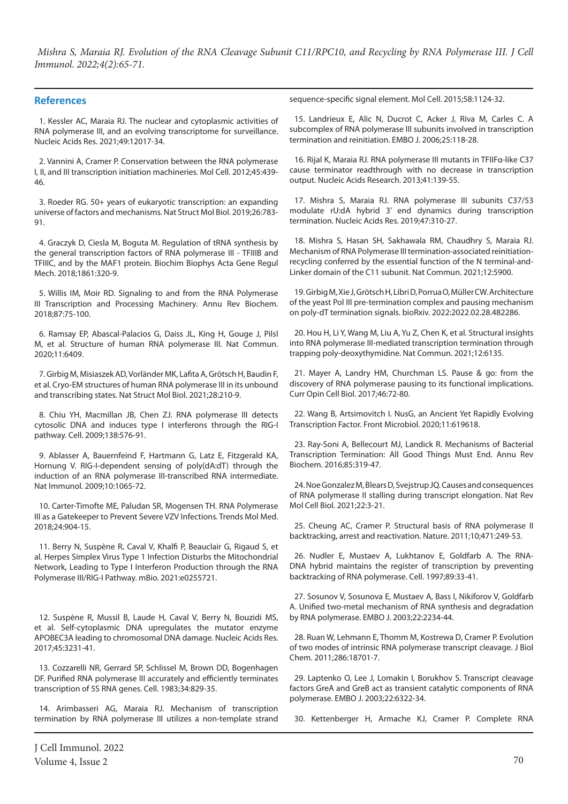#### **References**

1. Kessler AC, Maraia RJ. The nuclear and cytoplasmic activities of RNA polymerase III, and an evolving transcriptome for surveillance. Nucleic Acids Res. 2021;49:12017-34.

2. Vannini A, Cramer P. Conservation between the RNA polymerase I, II, and III transcription initiation machineries. Mol Cell. 2012;45:439- 46.

3. Roeder RG. 50+ years of eukaryotic transcription: an expanding universe of factors and mechanisms. Nat Struct Mol Biol. 2019;26:783- 91.

4. Graczyk D, Ciesla M, Boguta M. Regulation of tRNA synthesis by the general transcription factors of RNA polymerase III - TFIIIB and TFIIIC, and by the MAF1 protein. Biochim Biophys Acta Gene Regul Mech. 2018;1861:320-9.

5. Willis IM, Moir RD. Signaling to and from the RNA Polymerase III Transcription and Processing Machinery. Annu Rev Biochem. 2018;87:75-100.

6. Ramsay EP, Abascal-Palacios G, Daiss JL, King H, Gouge J, Pilsl M, et al. Structure of human RNA polymerase III. Nat Commun. 2020;11:6409.

7. Girbig M, Misiaszek AD, Vorländer MK, Lafita A, Grötsch H, Baudin F, et al. Cryo-EM structures of human RNA polymerase III in its unbound and transcribing states. Nat Struct Mol Biol. 2021;28:210-9.

8. Chiu YH, Macmillan JB, Chen ZJ. RNA polymerase III detects cytosolic DNA and induces type I interferons through the RIG-I pathway. Cell. 2009;138:576-91.

9. Ablasser A, Bauernfeind F, Hartmann G, Latz E, Fitzgerald KA, Hornung V. RIG-I-dependent sensing of poly(dA:dT) through the induction of an RNA polymerase III-transcribed RNA intermediate. Nat Immunol. 2009;10:1065-72.

10. Carter-Timofte ME, Paludan SR, Mogensen TH. RNA Polymerase III as a Gatekeeper to Prevent Severe VZV Infections. Trends Mol Med. 2018;24:904-15.

11. Berry N, Suspène R, Caval V, Khalfi P, Beauclair G, Rigaud S, et al. Herpes Simplex Virus Type 1 Infection Disturbs the Mitochondrial Network, Leading to Type I Interferon Production through the RNA Polymerase III/RIG-I Pathway. mBio. 2021:e0255721.

12. Suspène R, Mussil B, Laude H, Caval V, Berry N, Bouzidi MS, et al. Self-cytoplasmic DNA upregulates the mutator enzyme APOBEC3A leading to chromosomal DNA damage. Nucleic Acids Res. 2017;45:3231-41.

13. Cozzarelli NR, Gerrard SP, Schlissel M, Brown DD, Bogenhagen DF. Purified RNA polymerase III accurately and efficiently terminates transcription of 5S RNA genes. Cell. 1983;34:829-35.

14. Arimbasseri AG, Maraia RJ. Mechanism of transcription termination by RNA polymerase III utilizes a non-template strand

J Cell Immunol. 2022 Volume 4, Issue 2 70

sequence-specific signal element. Mol Cell. 2015;58:1124-32.

15. Landrieux E, Alic N, Ducrot C, Acker J, Riva M, Carles C. A subcomplex of RNA polymerase III subunits involved in transcription termination and reinitiation. EMBO J. 2006;25:118-28.

16. Rijal K, Maraia RJ. RNA polymerase III mutants in TFIIFα-like C37 cause terminator readthrough with no decrease in transcription output. Nucleic Acids Research. 2013;41:139-55.

17. Mishra S, Maraia RJ. RNA polymerase III subunits C37/53 modulate rU:dA hybrid 3' end dynamics during transcription termination. Nucleic Acids Res. 2019;47:310-27.

18. Mishra S, Hasan SH, Sakhawala RM, Chaudhry S, Maraia RJ. Mechanism of RNA Polymerase III termination-associated reinitiationrecycling conferred by the essential function of the N terminal-and-Linker domain of the C11 subunit. Nat Commun. 2021;12:5900.

19. Girbig M, Xie J, Grötsch H, Libri D, Porrua O, Müller CW. Architecture of the yeast Pol III pre-termination complex and pausing mechanism on poly-dT termination signals. bioRxiv. 2022:2022.02.28.482286.

20. Hou H, Li Y, Wang M, Liu A, Yu Z, Chen K, et al. Structural insights into RNA polymerase III-mediated transcription termination through trapping poly-deoxythymidine. Nat Commun. 2021;12:6135.

21. Mayer A, Landry HM, Churchman LS. Pause & go: from the discovery of RNA polymerase pausing to its functional implications. Curr Opin Cell Biol. 2017;46:72-80.

22. Wang B, Artsimovitch I. NusG, an Ancient Yet Rapidly Evolving Transcription Factor. Front Microbiol. 2020;11:619618.

23. Ray-Soni A, Bellecourt MJ, Landick R. Mechanisms of Bacterial Transcription Termination: All Good Things Must End. Annu Rev Biochem. 2016;85:319-47.

24. Noe Gonzalez M, Blears D, Svejstrup JQ. Causes and consequences of RNA polymerase II stalling during transcript elongation. Nat Rev Mol Cell Biol. 2021;22:3-21.

25. Cheung AC, Cramer P. Structural basis of RNA polymerase II backtracking, arrest and reactivation. Nature. 2011;10;471:249-53.

26. Nudler E, Mustaev A, Lukhtanov E, Goldfarb A. The RNA-DNA hybrid maintains the register of transcription by preventing backtracking of RNA polymerase. Cell. 1997;89:33-41.

27. Sosunov V, Sosunova E, Mustaev A, Bass I, Nikiforov V, Goldfarb A. Unified two-metal mechanism of RNA synthesis and degradation by RNA polymerase. EMBO J. 2003;22:2234-44.

28. Ruan W, Lehmann E, Thomm M, Kostrewa D, Cramer P. Evolution of two modes of intrinsic RNA polymerase transcript cleavage. J Biol Chem. 2011;286:18701-7.

29. Laptenko O, Lee J, Lomakin I, Borukhov S. Transcript cleavage factors GreA and GreB act as transient catalytic components of RNA polymerase. EMBO J. 2003;22:6322-34.

30. Kettenberger H, Armache KJ, Cramer P. Complete RNA